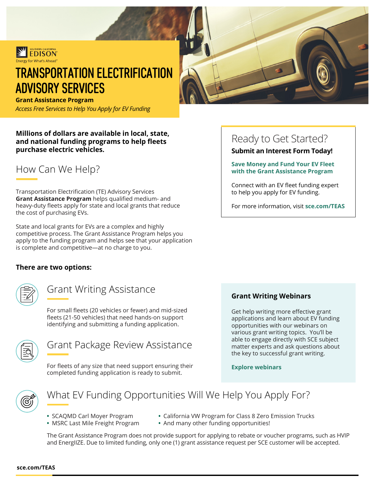

# TRANSPORTATION ELECTRIFICATION ADVISORY SERVICES

**Grant Assistance Program** 

*Access Free Services to Help You Apply for EV Funding* 

**Millions of dollars are available in local, state, and national funding programs to help fleets purchase electric vehicles.** 

How Can We Help?

Transportation Electrification (TE) Advisory Services **Grant Assistance Program** helps qualified medium- and heavy-duty fleets apply for state and local grants that reduce the cost of purchasing EVs.

State and local grants for EVs are a complex and highly competitive process. The Grant Assistance Program helps you apply to the funding program and helps see that your application is complete and competitive—at no charge to you.

#### **There are two options:**

### Grant Writing Assistance

For small fleets (20 vehicles or fewer) and mid-sized fleets (21-50 vehicles) that need hands-on support identifying and submitting a funding application.



### Grant Package Review Assistance

For fleets of any size that need support ensuring their completed funding application is ready to submit.

# Ready to Get Started?

#### **Submit an Interest Form Today!**

#### **Save Money and Fund Your EV Fleet with the Grant Assistance Program**

Connect with an EV fleet funding expert to help you apply for EV funding.

For more information, visit **[sce.com/TEAS](www.sce.com/teas)** 

#### **Grant Writing Webinars**

Get help writing more effective grant applications and learn about EV funding opportunities with our webinars on various grant writing topics. You'll be able to engage directly with SCE subject matter experts and ask questions about the key to successful grant writing.

#### **[Explore webinars](www.sce.com/teas)**



### What EV Funding Opportunities Will We Help You Apply For?

- 
- 
- SCAQMD Carl Moyer Program California VW Program for Class 8 Zero Emission Trucks
- MSRC Last Mile Freight Program And many other funding opportunities!

The Grant Assistance Program does not provide support for applying to rebate or voucher programs, such as HVIP and EnergIIZE. Due to limited funding, only one (1) grant assistance request per SCE customer will be accepted.